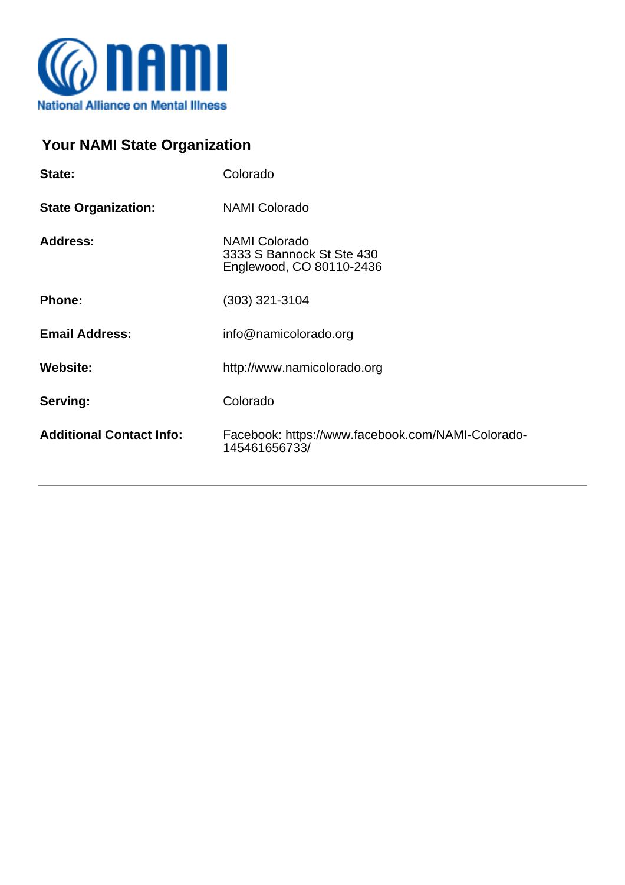

## **Your NAMI State Organization**

| State:                          | Colorado                                                                      |  |
|---------------------------------|-------------------------------------------------------------------------------|--|
| <b>State Organization:</b>      | <b>NAMI Colorado</b>                                                          |  |
| <b>Address:</b>                 | <b>NAMI Colorado</b><br>3333 S Bannock St Ste 430<br>Englewood, CO 80110-2436 |  |
| <b>Phone:</b>                   | (303) 321-3104                                                                |  |
| <b>Email Address:</b>           | info@namicolorado.org                                                         |  |
| <b>Website:</b>                 | http://www.namicolorado.org                                                   |  |
| Serving:                        | Colorado                                                                      |  |
| <b>Additional Contact Info:</b> | Facebook: https://www.facebook.com/NAMI-Colorado-<br>145461656733/            |  |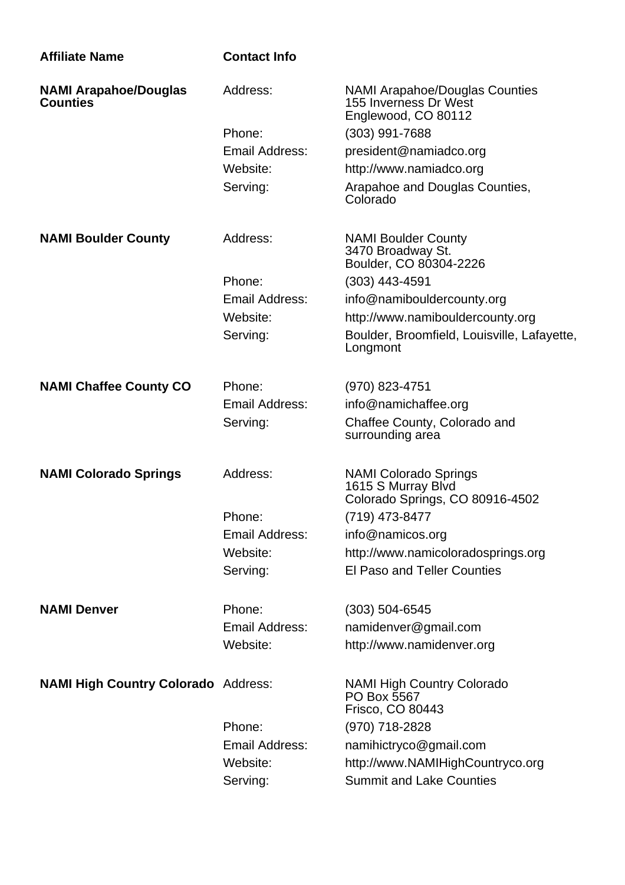| <b>Affiliate Name</b>                           | <b>Contact Info</b>   |                                                                                       |
|-------------------------------------------------|-----------------------|---------------------------------------------------------------------------------------|
| <b>NAMI Arapahoe/Douglas</b><br><b>Counties</b> | Address:              | <b>NAMI Arapahoe/Douglas Counties</b><br>155 Inverness Dr West<br>Englewood, CO 80112 |
|                                                 | Phone:                | $(303)$ 991-7688                                                                      |
|                                                 | Email Address:        | president@namiadco.org                                                                |
|                                                 | Website:              | http://www.namiadco.org                                                               |
|                                                 | Serving:              | Arapahoe and Douglas Counties,<br>Colorado                                            |
| <b>NAMI Boulder County</b>                      | Address:              | <b>NAMI Boulder County</b><br>3470 Broadway St.<br>Boulder, CO 80304-2226             |
|                                                 | Phone:                | (303) 443-4591                                                                        |
|                                                 | Email Address:        | info@namibouldercounty.org                                                            |
|                                                 | Website:              | http://www.namibouldercounty.org                                                      |
|                                                 | Serving:              | Boulder, Broomfield, Louisville, Lafayette,<br>Longmont                               |
| <b>NAMI Chaffee County CO</b>                   | Phone:                | (970) 823-4751                                                                        |
|                                                 | Email Address:        | info@namichaffee.org                                                                  |
|                                                 | Serving:              | Chaffee County, Colorado and<br>surrounding area                                      |
| <b>NAMI Colorado Springs</b>                    | Address:              | <b>NAMI Colorado Springs</b><br>1615 S Murray Blvd<br>Colorado Springs, CO 80916-4502 |
|                                                 | Phone:                | (719) 473-8477                                                                        |
|                                                 | Email Address:        | info@namicos.org                                                                      |
|                                                 | Website:              | http://www.namicoloradosprings.org                                                    |
|                                                 | Serving:              | <b>El Paso and Teller Counties</b>                                                    |
| <b>NAMI Denver</b>                              | Phone:                | $(303) 504 - 6545$                                                                    |
|                                                 | <b>Email Address:</b> | namidenver@gmail.com                                                                  |
|                                                 | Website:              | http://www.namidenver.org                                                             |
| <b>NAMI High Country Colorado Address:</b>      |                       | <b>NAMI High Country Colorado</b><br>PO Box 5567<br>Frisco, CO 80443                  |
|                                                 | Phone:                | (970) 718-2828                                                                        |
|                                                 | <b>Email Address:</b> | namihictryco@gmail.com                                                                |
|                                                 | Website:              | http://www.NAMIHighCountryco.org                                                      |
|                                                 | Serving:              | <b>Summit and Lake Counties</b>                                                       |
|                                                 |                       |                                                                                       |